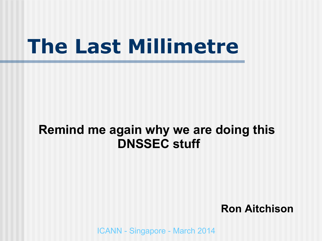### **The Last Millimetre**

#### **Remind me again why we are doing this DNSSEC stuff**

#### **Ron Aitchison**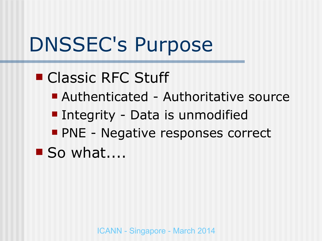## DNSSEC's Purpose

### ■ Classic RFC Stuff

- Authenticated Authoritative source
- **Integrity Data is unmodified**
- **PNE Negative responses correct**
- $\blacksquare$  So what....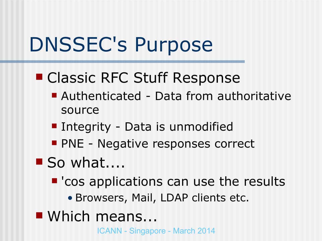## DNSSEC's Purpose

- Classic RFC Stuff Response
	- Authenticated Data from authoritative source
	- **Integrity Data is unmodified**
	- **PNE Negative responses correct**
- So what....
	- 'cos applications can use the results
		- Browsers, Mail, LDAP clients etc.
- Which means...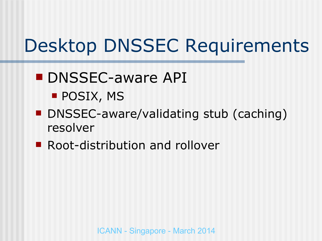#### **DNSSEC-aware API POSIX, MS**

- DNSSEC-aware/validating stub (caching) resolver
- **Root-distribution and rollover**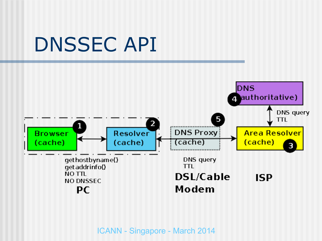### DNSSEC API

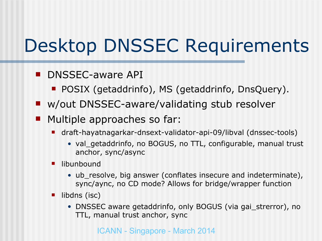- **DISSEC-aware API** 
	- **POSIX (getaddrinfo), MS (getaddrinfo, DnsQuery).**
- w/out DNSSEC-aware/validating stub resolver
- **Multiple approaches so far:** 
	- draft-hayatnagarkar-dnsext-validator-api-09/libval (dnssec-tools)
		- val getaddrinfo, no BOGUS, no TTL, configurable, manual trust anchor, sync/async
	- libunbound
		- ub\_resolve, big answer (conflates insecure and indeterminate), sync/aync, no CD mode? Allows for bridge/wrapper function
	- $\blacksquare$  libdns (isc)
		- DNSSEC aware getaddrinfo, only BOGUS (via gai\_strerror), no TTL, manual trust anchor, sync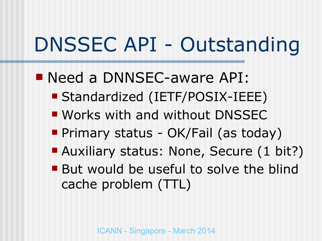# DNSSEC API - Outstanding

- Need a DNNSEC-aware API:
	- Standardized (IETF/POSIX-IEEE)
	- **Works with and without DNSSEC**
	- **Primary status OK/Fail (as today)**
	- **Auxiliary status: None, Secure (1 bit?)**
	- But would be useful to solve the blind cache problem (TTL)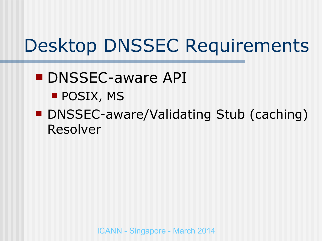#### **DNSSEC-aware API POSIX, MS**

■ DNSSEC-aware/Validating Stub (caching) Resolver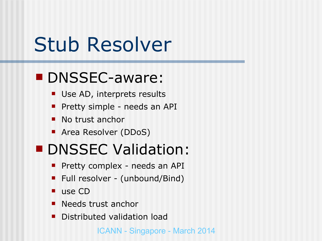### Stub Resolver

### **DNSSEC-aware:**

- Use AD, interprets results
- **Pretty simple needs an API**
- No trust anchor
- Area Resolver (DDoS)

#### **DNSSEC Validation:**

- **Pretty complex needs an API**
- Full resolver (unbound/Bind)
- use CD
- **Needs trust anchor**
- **Distributed validation load**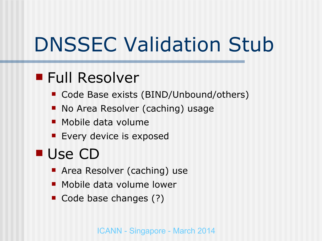# DNSSEC Validation Stub

### ■ Full Resolver

- **Code Base exists (BIND/Unbound/others)**
- **No Area Resolver (caching) usage**
- **Mobile data volume**
- **Exery device is exposed**

### ■ Use CD

- **Area Resolver (caching) use**
- **Mobile data volume lower**
- Code base changes (?)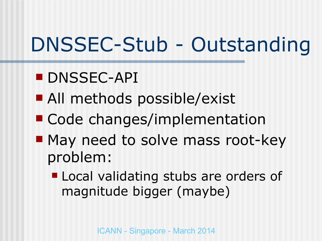# DNSSEC-Stub - Outstanding

- **DNSSEC-API**
- All methods possible/exist
- Code changes/implementation
- May need to solve mass root-key problem:
	- **Local validating stubs are orders of** magnitude bigger (maybe)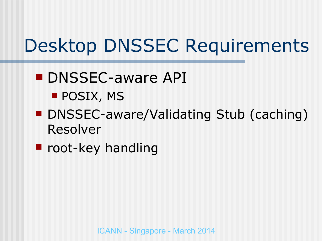- **DNSSEC-aware API POSIX, MS**
- DNSSEC-aware/Validating Stub (caching) Resolver
- **P** root-key handling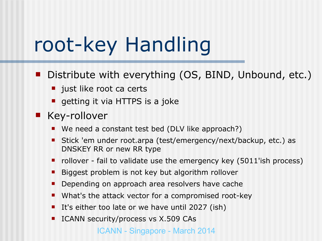### root-key Handling

- Distribute with everything (OS, BIND, Unbound, etc.)
	- ust like root ca certs
	- **qetting it via HTTPS is a joke**
- **Key-rollover** 
	- We need a constant test bed (DLV like approach?)
	- Stick 'em under root.arpa (test/emergency/next/backup, etc.) as DNSKEY RR or new RR type
	- $\blacksquare$  rollover fail to validate use the emergency key (5011'ish process)
	- **Biggest problem is not key but algorithm rollover**
	- Depending on approach area resolvers have cache
	- What's the attack vector for a compromised root-key
	- It's either too late or we have until 2027 (ish)
	- ICANN security/process vs X.509 CAs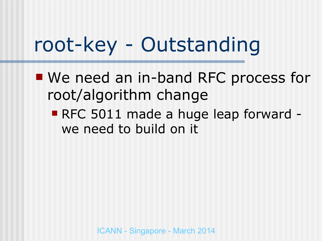## root-key - Outstanding

- We need an in-band RFC process for root/algorithm change
	- RFC 5011 made a huge leap forward we need to build on it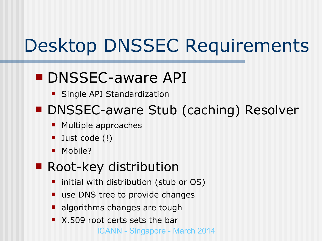### **DNSSEC-aware API**

**Single API Standardization** 

#### ■ DNSSEC-aware Stub (caching) Resolver

- Multiple approaches
- Just code (!)
- Mobile?

#### ■ Root-key distribution

- initial with distribution (stub or OS)
- use DNS tree to provide changes
- **algorithms changes are tough**
- ICANN Singapore March 2014 ■ X.509 root certs sets the bar